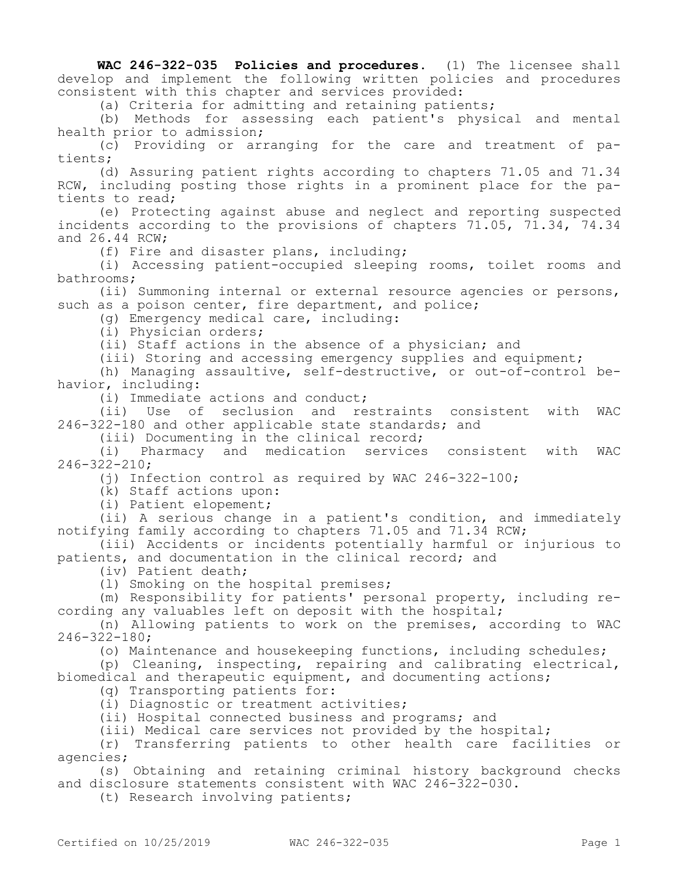**WAC 246-322-035 Policies and procedures.** (1) The licensee shall develop and implement the following written policies and procedures consistent with this chapter and services provided:

(a) Criteria for admitting and retaining patients;

(b) Methods for assessing each patient's physical and mental health prior to admission;

(c) Providing or arranging for the care and treatment of patients;

(d) Assuring patient rights according to chapters 71.05 and 71.34 RCW, including posting those rights in a prominent place for the patients to read;

(e) Protecting against abuse and neglect and reporting suspected incidents according to the provisions of chapters 71.05, 71.34, 74.34 and 26.44 RCW;

(f) Fire and disaster plans, including;

(i) Accessing patient-occupied sleeping rooms, toilet rooms and bathrooms;

(ii) Summoning internal or external resource agencies or persons, such as a poison center, fire department, and police;

(g) Emergency medical care, including:

(i) Physician orders;

(ii) Staff actions in the absence of a physician; and

(iii) Storing and accessing emergency supplies and equipment;

(h) Managing assaultive, self-destructive, or out-of-control behavior, including:

(i) Immediate actions and conduct;

(ii) Use of seclusion and restraints consistent with WAC 246-322-180 and other applicable state standards; and

(iii) Documenting in the clinical record;

(i) Pharmacy and medication services consistent with WAC 246-322-210;

(j) Infection control as required by WAC 246-322-100;

(k) Staff actions upon:

(i) Patient elopement;

(ii) A serious change in a patient's condition, and immediately notifying family according to chapters 71.05 and 71.34 RCW;

(iii) Accidents or incidents potentially harmful or injurious to patients, and documentation in the clinical record; and

(iv) Patient death;

(l) Smoking on the hospital premises;

(m) Responsibility for patients' personal property, including recording any valuables left on deposit with the hospital;

(n) Allowing patients to work on the premises, according to WAC 246-322-180;

(o) Maintenance and housekeeping functions, including schedules;

(p) Cleaning, inspecting, repairing and calibrating electrical, biomedical and therapeutic equipment, and documenting actions;

(q) Transporting patients for:

(i) Diagnostic or treatment activities;

(ii) Hospital connected business and programs; and

(iii) Medical care services not provided by the hospital;

(r) Transferring patients to other health care facilities or agencies;

(s) Obtaining and retaining criminal history background checks and disclosure statements consistent with WAC 246-322-030.

(t) Research involving patients;